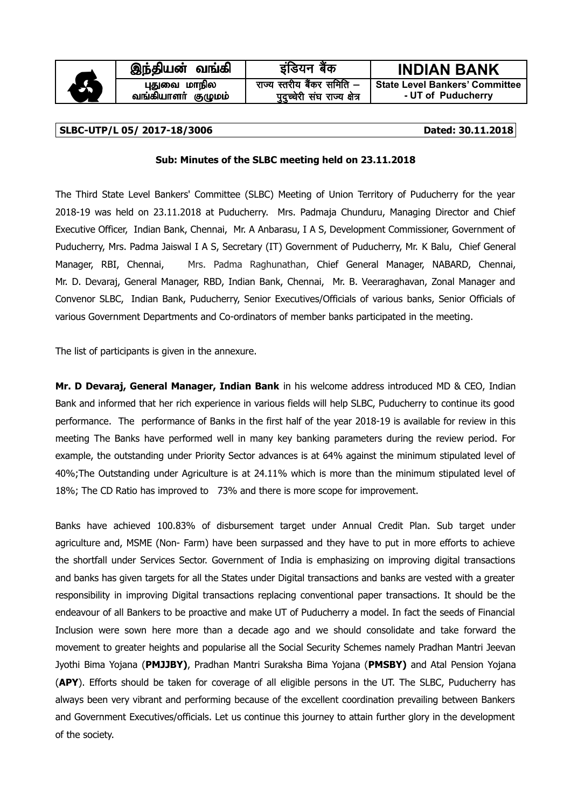

#### **SLBC-UTP/L 05/ 2017-18/3006 Dated: 30.11.2018**

#### **Sub: Minutes of the SLBC meeting held on 23.11.2018**

The Third State Level Bankers' Committee (SLBC) Meeting of Union Territory of Puducherry for the year 2018-19 was held on 23.11.2018 at Puducherry. Mrs. Padmaja Chunduru, Managing Director and Chief Executive Officer, Indian Bank, Chennai, Mr. A Anbarasu, I A S, Development Commissioner, Government of Puducherry, Mrs. Padma Jaiswal I A S, Secretary (IT) Government of Puducherry, Mr. K Balu, Chief General Manager, RBI, Chennai, Mrs. Padma Raghunathan, Chief General Manager, NABARD, Chennai, Mr. D. Devaraj, General Manager, RBD, Indian Bank, Chennai, Mr. B. Veeraraghavan, Zonal Manager and Convenor SLBC, Indian Bank, Puducherry, Senior Executives/Officials of various banks, Senior Officials of various Government Departments and Co-ordinators of member banks participated in the meeting.

The list of participants is given in the annexure.

**Mr. D Devaraj, General Manager, Indian Bank** in his welcome address introduced MD & CEO, Indian Bank and informed that her rich experience in various fields will help SLBC, Puducherry to continue its good performance. The performance of Banks in the first half of the year 2018-19 is available for review in this meeting The Banks have performed well in many key banking parameters during the review period. For example, the outstanding under Priority Sector advances is at 64% against the minimum stipulated level of 40%;The Outstanding under Agriculture is at 24.11% which is more than the minimum stipulated level of 18%; The CD Ratio has improved to 73% and there is more scope for improvement.

Banks have achieved 100.83% of disbursement target under Annual Credit Plan. Sub target under agriculture and, MSME (Non- Farm) have been surpassed and they have to put in more efforts to achieve the shortfall under Services Sector. Government of India is emphasizing on improving digital transactions and banks has given targets for all the States under Digital transactions and banks are vested with a greater responsibility in improving Digital transactions replacing conventional paper transactions. It should be the endeavour of all Bankers to be proactive and make UT of Puducherry a model. In fact the seeds of Financial Inclusion were sown here more than a decade ago and we should consolidate and take forward the movement to greater heights and popularise all the Social Security Schemes namely Pradhan Mantri Jeevan Jyothi Bima Yojana (**PMJJBY)**, Pradhan Mantri Suraksha Bima Yojana (**PMSBY)** and Atal Pension Yojana (**APY**). Efforts should be taken for coverage of all eligible persons in the UT. The SLBC, Puducherry has always been very vibrant and performing because of the excellent coordination prevailing between Bankers and Government Executives/officials. Let us continue this journey to attain further glory in the development of the society.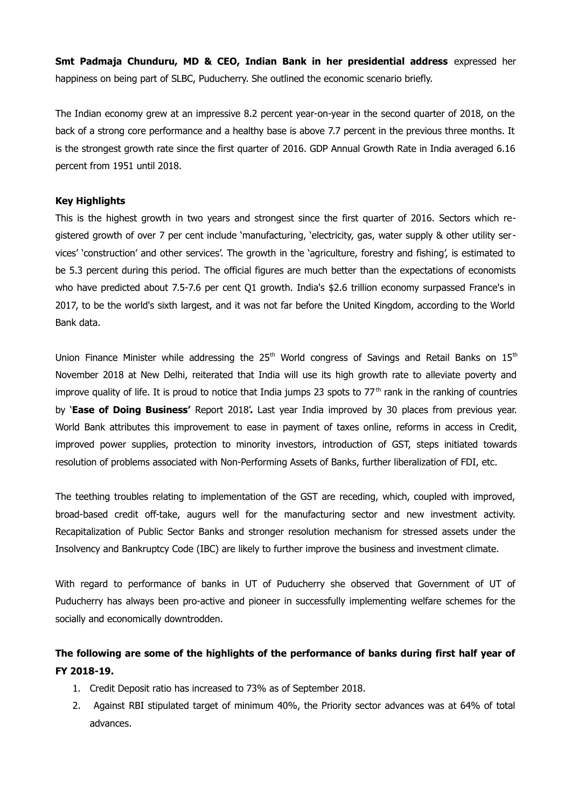**Smt Padmaja Chunduru, MD & CEO, Indian Bank in her presidential address** expressed her happiness on being part of SLBC, Puducherry. She outlined the economic scenario briefly.

The Indian economy grew at an impressive 8.2 percent year-on-year in the second quarter of 2018, on the back of a strong core performance and a healthy base is above 7.7 percent in the previous three months. It is the strongest growth rate since the first quarter of 2016. GDP Annual Growth Rate in India averaged 6.16 percent from 1951 until 2018.

#### **Key Highlights**

This is the highest growth in two years and strongest since the first quarter of 2016. Sectors which registered growth of over 7 per cent include 'manufacturing, 'electricity, gas, water supply & other utility services' 'construction' and other services'. The growth in the 'agriculture, forestry and fishing', is estimated to be 5.3 percent during this period. The official figures are much better than the expectations of economists who have predicted about 7.5-7.6 per cent Q1 growth. India's \$2.6 trillion economy surpassed France's in 2017, to be the world's sixth largest, and it was not far before the United Kingdom, according to the World Bank data.

Union Finance Minister while addressing the  $25<sup>th</sup>$  World congress of Savings and Retail Banks on  $15<sup>th</sup>$ November 2018 at New Delhi, reiterated that India will use its high growth rate to alleviate poverty and improve quality of life. It is proud to notice that India jumps 23 spots to  $77<sup>th</sup>$  rank in the ranking of countries by '**Ease of Doing Business'** Report 2018'**.** Last year India improved by 30 places from previous year. World Bank attributes this improvement to ease in payment of taxes online, reforms in access in Credit, improved power supplies, protection to minority investors, introduction of GST, steps initiated towards resolution of problems associated with Non-Performing Assets of Banks, further liberalization of FDI, etc.

The teething troubles relating to implementation of the GST are receding, which, coupled with improved, broad-based credit off-take, augurs well for the manufacturing sector and new investment activity. Recapitalization of Public Sector Banks and stronger resolution mechanism for stressed assets under the Insolvency and Bankruptcy Code (IBC) are likely to further improve the business and investment climate.

With regard to performance of banks in UT of Puducherry she observed that Government of UT of Puducherry has always been pro-active and pioneer in successfully implementing welfare schemes for the socially and economically downtrodden.

### **The following are some of the highlights of the performance of banks during first half year of FY 2018-19.**

- 1. Credit Deposit ratio has increased to 73% as of September 2018.
- 2. Against RBI stipulated target of minimum 40%, the Priority sector advances was at 64% of total advances.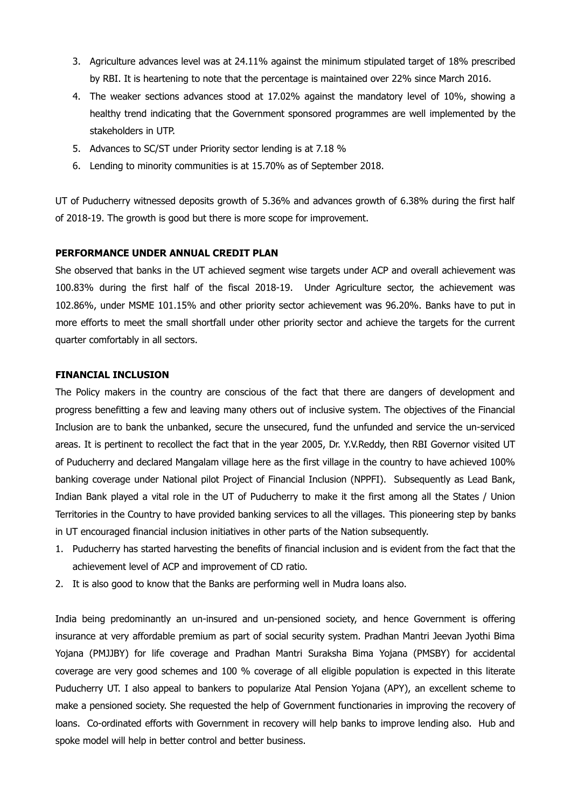- 3. Agriculture advances level was at 24.11% against the minimum stipulated target of 18% prescribed by RBI. It is heartening to note that the percentage is maintained over 22% since March 2016.
- 4. The weaker sections advances stood at 17.02% against the mandatory level of 10%, showing a healthy trend indicating that the Government sponsored programmes are well implemented by the stakeholders in UTP.
- 5. Advances to SC/ST under Priority sector lending is at 7.18 %
- 6. Lending to minority communities is at 15.70% as of September 2018.

UT of Puducherry witnessed deposits growth of 5.36% and advances growth of 6.38% during the first half of 2018-19. The growth is good but there is more scope for improvement.

#### **PERFORMANCE UNDER ANNUAL CREDIT PLAN**

She observed that banks in the UT achieved segment wise targets under ACP and overall achievement was 100.83% during the first half of the fiscal 2018-19. Under Agriculture sector, the achievement was 102.86%, under MSME 101.15% and other priority sector achievement was 96.20%. Banks have to put in more efforts to meet the small shortfall under other priority sector and achieve the targets for the current quarter comfortably in all sectors.

### **FINANCIAL INCLUSION**

The Policy makers in the country are conscious of the fact that there are dangers of development and progress benefitting a few and leaving many others out of inclusive system. The objectives of the Financial Inclusion are to bank the unbanked, secure the unsecured, fund the unfunded and service the un-serviced areas. It is pertinent to recollect the fact that in the year 2005, Dr. Y.V.Reddy, then RBI Governor visited UT of Puducherry and declared Mangalam village here as the first village in the country to have achieved 100% banking coverage under National pilot Project of Financial Inclusion (NPPFI). Subsequently as Lead Bank, Indian Bank played a vital role in the UT of Puducherry to make it the first among all the States / Union Territories in the Country to have provided banking services to all the villages. This pioneering step by banks in UT encouraged financial inclusion initiatives in other parts of the Nation subsequently.

- 1. Puducherry has started harvesting the benefits of financial inclusion and is evident from the fact that the achievement level of ACP and improvement of CD ratio.
- 2. It is also good to know that the Banks are performing well in Mudra loans also.

India being predominantly an un-insured and un-pensioned society, and hence Government is offering insurance at very affordable premium as part of social security system. Pradhan Mantri Jeevan Jyothi Bima Yojana (PMJJBY) for life coverage and Pradhan Mantri Suraksha Bima Yojana (PMSBY) for accidental coverage are very good schemes and 100 % coverage of all eligible population is expected in this literate Puducherry UT. I also appeal to bankers to popularize Atal Pension Yojana (APY), an excellent scheme to make a pensioned society. She requested the help of Government functionaries in improving the recovery of loans. Co-ordinated efforts with Government in recovery will help banks to improve lending also. Hub and spoke model will help in better control and better business.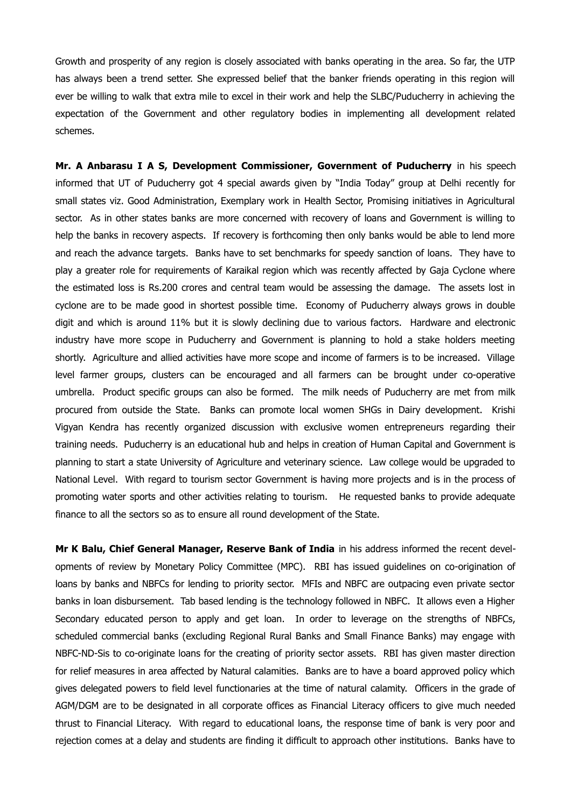Growth and prosperity of any region is closely associated with banks operating in the area. So far, the UTP has always been a trend setter. She expressed belief that the banker friends operating in this region will ever be willing to walk that extra mile to excel in their work and help the SLBC/Puducherry in achieving the expectation of the Government and other regulatory bodies in implementing all development related schemes.

**Mr. A Anbarasu I A S, Development Commissioner, Government of Puducherry** in his speech informed that UT of Puducherry got 4 special awards given by "India Today" group at Delhi recently for small states viz. Good Administration, Exemplary work in Health Sector, Promising initiatives in Agricultural sector. As in other states banks are more concerned with recovery of loans and Government is willing to help the banks in recovery aspects. If recovery is forthcoming then only banks would be able to lend more and reach the advance targets. Banks have to set benchmarks for speedy sanction of loans. They have to play a greater role for requirements of Karaikal region which was recently affected by Gaja Cyclone where the estimated loss is Rs.200 crores and central team would be assessing the damage. The assets lost in cyclone are to be made good in shortest possible time. Economy of Puducherry always grows in double digit and which is around 11% but it is slowly declining due to various factors. Hardware and electronic industry have more scope in Puducherry and Government is planning to hold a stake holders meeting shortly. Agriculture and allied activities have more scope and income of farmers is to be increased. Village level farmer groups, clusters can be encouraged and all farmers can be brought under co-operative umbrella. Product specific groups can also be formed. The milk needs of Puducherry are met from milk procured from outside the State. Banks can promote local women SHGs in Dairy development. Krishi Vigyan Kendra has recently organized discussion with exclusive women entrepreneurs regarding their training needs. Puducherry is an educational hub and helps in creation of Human Capital and Government is planning to start a state University of Agriculture and veterinary science. Law college would be upgraded to National Level. With regard to tourism sector Government is having more projects and is in the process of promoting water sports and other activities relating to tourism. He requested banks to provide adequate finance to all the sectors so as to ensure all round development of the State.

**Mr K Balu, Chief General Manager, Reserve Bank of India** in his address informed the recent developments of review by Monetary Policy Committee (MPC). RBI has issued guidelines on co-origination of loans by banks and NBFCs for lending to priority sector. MFIs and NBFC are outpacing even private sector banks in loan disbursement. Tab based lending is the technology followed in NBFC. It allows even a Higher Secondary educated person to apply and get loan. In order to leverage on the strengths of NBFCs, scheduled commercial banks (excluding Regional Rural Banks and Small Finance Banks) may engage with NBFC-ND-Sis to co-originate loans for the creating of priority sector assets. RBI has given master direction for relief measures in area affected by Natural calamities. Banks are to have a board approved policy which gives delegated powers to field level functionaries at the time of natural calamity. Officers in the grade of AGM/DGM are to be designated in all corporate offices as Financial Literacy officers to give much needed thrust to Financial Literacy. With regard to educational loans, the response time of bank is very poor and rejection comes at a delay and students are finding it difficult to approach other institutions. Banks have to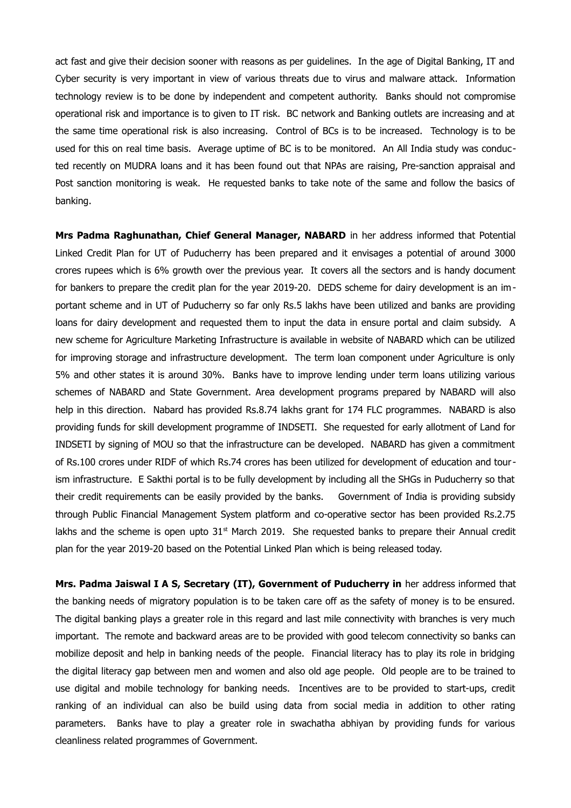act fast and give their decision sooner with reasons as per guidelines. In the age of Digital Banking, IT and Cyber security is very important in view of various threats due to virus and malware attack. Information technology review is to be done by independent and competent authority. Banks should not compromise operational risk and importance is to given to IT risk. BC network and Banking outlets are increasing and at the same time operational risk is also increasing. Control of BCs is to be increased. Technology is to be used for this on real time basis. Average uptime of BC is to be monitored. An All India study was conducted recently on MUDRA loans and it has been found out that NPAs are raising, Pre-sanction appraisal and Post sanction monitoring is weak. He requested banks to take note of the same and follow the basics of banking.

**Mrs Padma Raghunathan, Chief General Manager, NABARD** in her address informed that Potential Linked Credit Plan for UT of Puducherry has been prepared and it envisages a potential of around 3000 crores rupees which is 6% growth over the previous year. It covers all the sectors and is handy document for bankers to prepare the credit plan for the year 2019-20. DEDS scheme for dairy development is an im portant scheme and in UT of Puducherry so far only Rs.5 lakhs have been utilized and banks are providing loans for dairy development and requested them to input the data in ensure portal and claim subsidy. A new scheme for Agriculture Marketing Infrastructure is available in website of NABARD which can be utilized for improving storage and infrastructure development. The term loan component under Agriculture is only 5% and other states it is around 30%. Banks have to improve lending under term loans utilizing various schemes of NABARD and State Government. Area development programs prepared by NABARD will also help in this direction. Nabard has provided Rs.8.74 lakhs grant for 174 FLC programmes. NABARD is also providing funds for skill development programme of INDSETI. She requested for early allotment of Land for INDSETI by signing of MOU so that the infrastructure can be developed. NABARD has given a commitment of Rs.100 crores under RIDF of which Rs.74 crores has been utilized for development of education and tourism infrastructure. E Sakthi portal is to be fully development by including all the SHGs in Puducherry so that their credit requirements can be easily provided by the banks. Government of India is providing subsidy through Public Financial Management System platform and co-operative sector has been provided Rs.2.75 lakhs and the scheme is open upto  $31<sup>st</sup>$  March 2019. She requested banks to prepare their Annual credit plan for the year 2019-20 based on the Potential Linked Plan which is being released today.

**Mrs. Padma Jaiswal I A S, Secretary (IT), Government of Puducherry in** her address informed that the banking needs of migratory population is to be taken care off as the safety of money is to be ensured. The digital banking plays a greater role in this regard and last mile connectivity with branches is very much important. The remote and backward areas are to be provided with good telecom connectivity so banks can mobilize deposit and help in banking needs of the people. Financial literacy has to play its role in bridging the digital literacy gap between men and women and also old age people. Old people are to be trained to use digital and mobile technology for banking needs. Incentives are to be provided to start-ups, credit ranking of an individual can also be build using data from social media in addition to other rating parameters. Banks have to play a greater role in swachatha abhiyan by providing funds for various cleanliness related programmes of Government.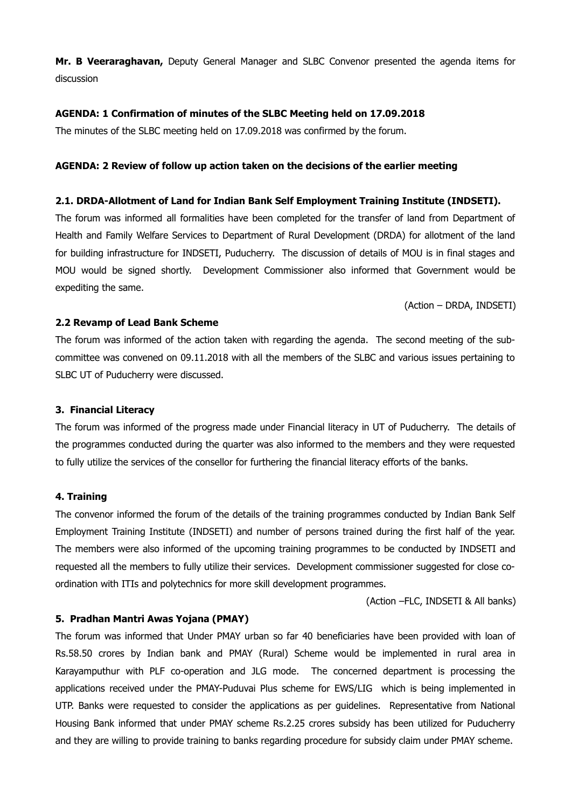**Mr. B Veeraraghavan,** Deputy General Manager and SLBC Convenor presented the agenda items for discussion

#### **AGENDA: 1 Confirmation of minutes of the SLBC Meeting held on 17.09.2018**

The minutes of the SLBC meeting held on 17.09.2018 was confirmed by the forum.

#### **AGENDA: 2 Review of follow up action taken on the decisions of the earlier meeting**

#### **2.1. DRDA-Allotment of Land for Indian Bank Self Employment Training Institute (INDSETI).**

The forum was informed all formalities have been completed for the transfer of land from Department of Health and Family Welfare Services to Department of Rural Development (DRDA) for allotment of the land for building infrastructure for INDSETI, Puducherry. The discussion of details of MOU is in final stages and MOU would be signed shortly. Development Commissioner also informed that Government would be expediting the same.

(Action – DRDA, INDSETI)

#### **2.2 Revamp of Lead Bank Scheme**

The forum was informed of the action taken with regarding the agenda. The second meeting of the subcommittee was convened on 09.11.2018 with all the members of the SLBC and various issues pertaining to SLBC UT of Puducherry were discussed.

#### **3. Financial Literacy**

The forum was informed of the progress made under Financial literacy in UT of Puducherry. The details of the programmes conducted during the quarter was also informed to the members and they were requested to fully utilize the services of the consellor for furthering the financial literacy efforts of the banks.

#### **4. Training**

The convenor informed the forum of the details of the training programmes conducted by Indian Bank Self Employment Training Institute (INDSETI) and number of persons trained during the first half of the year. The members were also informed of the upcoming training programmes to be conducted by INDSETI and requested all the members to fully utilize their services. Development commissioner suggested for close coordination with ITIs and polytechnics for more skill development programmes.

(Action –FLC, INDSETI & All banks)

#### **5. Pradhan Mantri Awas Yojana (PMAY)**

The forum was informed that Under PMAY urban so far 40 beneficiaries have been provided with loan of Rs.58.50 crores by Indian bank and PMAY (Rural) Scheme would be implemented in rural area in Karayamputhur with PLF co-operation and JLG mode. The concerned department is processing the applications received under the PMAY-Puduvai Plus scheme for EWS/LIG which is being implemented in UTP. Banks were requested to consider the applications as per guidelines. Representative from National Housing Bank informed that under PMAY scheme Rs.2.25 crores subsidy has been utilized for Puducherry and they are willing to provide training to banks regarding procedure for subsidy claim under PMAY scheme.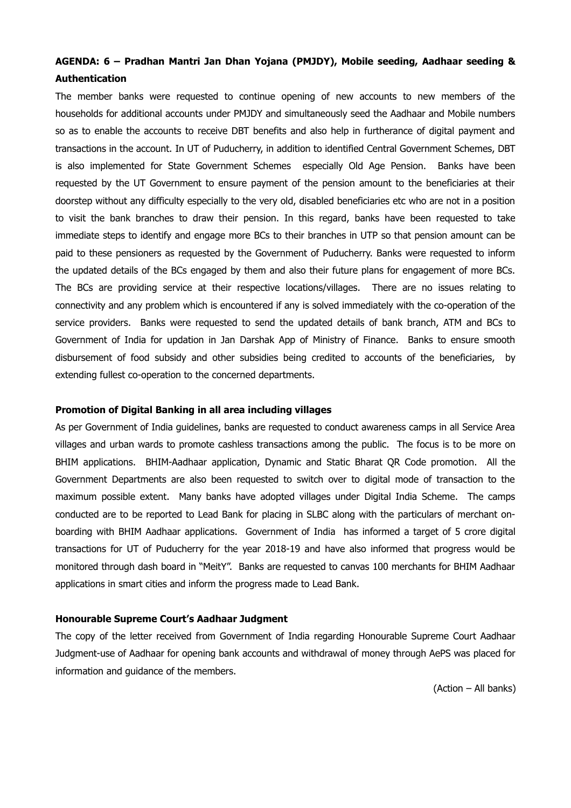### **AGENDA: 6 – Pradhan Mantri Jan Dhan Yojana (PMJDY), Mobile seeding, Aadhaar seeding & Authentication**

The member banks were requested to continue opening of new accounts to new members of the households for additional accounts under PMJDY and simultaneously seed the Aadhaar and Mobile numbers so as to enable the accounts to receive DBT benefits and also help in furtherance of digital payment and transactions in the account. In UT of Puducherry, in addition to identified Central Government Schemes, DBT is also implemented for State Government Schemes especially Old Age Pension. Banks have been requested by the UT Government to ensure payment of the pension amount to the beneficiaries at their doorstep without any difficulty especially to the very old, disabled beneficiaries etc who are not in a position to visit the bank branches to draw their pension. In this regard, banks have been requested to take immediate steps to identify and engage more BCs to their branches in UTP so that pension amount can be paid to these pensioners as requested by the Government of Puducherry. Banks were requested to inform the updated details of the BCs engaged by them and also their future plans for engagement of more BCs. The BCs are providing service at their respective locations/villages. There are no issues relating to connectivity and any problem which is encountered if any is solved immediately with the co-operation of the service providers. Banks were requested to send the updated details of bank branch, ATM and BCs to Government of India for updation in Jan Darshak App of Ministry of Finance. Banks to ensure smooth disbursement of food subsidy and other subsidies being credited to accounts of the beneficiaries, by extending fullest co-operation to the concerned departments.

#### **Promotion of Digital Banking in all area including villages**

As per Government of India guidelines, banks are requested to conduct awareness camps in all Service Area villages and urban wards to promote cashless transactions among the public. The focus is to be more on BHIM applications. BHIM-Aadhaar application, Dynamic and Static Bharat QR Code promotion. All the Government Departments are also been requested to switch over to digital mode of transaction to the maximum possible extent. Many banks have adopted villages under Digital India Scheme. The camps conducted are to be reported to Lead Bank for placing in SLBC along with the particulars of merchant onboarding with BHIM Aadhaar applications. Government of India has informed a target of 5 crore digital transactions for UT of Puducherry for the year 2018-19 and have also informed that progress would be monitored through dash board in "MeitY". Banks are requested to canvas 100 merchants for BHIM Aadhaar applications in smart cities and inform the progress made to Lead Bank.

#### **Honourable Supreme Court's Aadhaar Judgment**

The copy of the letter received from Government of India regarding Honourable Supreme Court Aadhaar Judgment-use of Aadhaar for opening bank accounts and withdrawal of money through AePS was placed for information and guidance of the members.

(Action – All banks)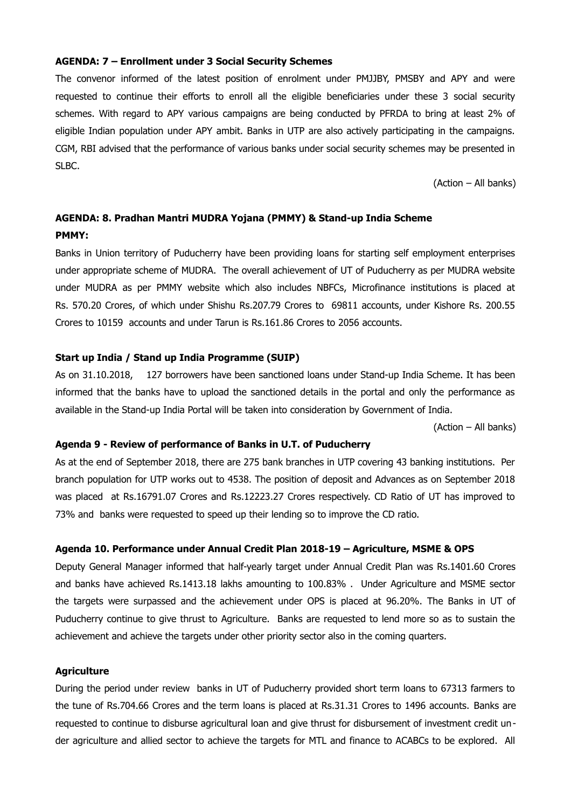#### **AGENDA: 7 – Enrollment under 3 Social Security Schemes**

The convenor informed of the latest position of enrolment under PMJJBY, PMSBY and APY and were requested to continue their efforts to enroll all the eligible beneficiaries under these 3 social security schemes. With regard to APY various campaigns are being conducted by PFRDA to bring at least 2% of eligible Indian population under APY ambit. Banks in UTP are also actively participating in the campaigns. CGM, RBI advised that the performance of various banks under social security schemes may be presented in SLBC.

(Action – All banks)

### **AGENDA: 8. Pradhan Mantri MUDRA Yojana (PMMY) & Stand-up India Scheme PMMY:**

Banks in Union territory of Puducherry have been providing loans for starting self employment enterprises under appropriate scheme of MUDRA. The overall achievement of UT of Puducherry as per MUDRA website under MUDRA as per PMMY website which also includes NBFCs, Microfinance institutions is placed at Rs. 570.20 Crores, of which under Shishu Rs.207.79 Crores to 69811 accounts, under Kishore Rs. 200.55 Crores to 10159 accounts and under Tarun is Rs.161.86 Crores to 2056 accounts.

#### **Start up India / Stand up India Programme (SUIP)**

As on 31.10.2018, 127 borrowers have been sanctioned loans under Stand-up India Scheme. It has been informed that the banks have to upload the sanctioned details in the portal and only the performance as available in the Stand-up India Portal will be taken into consideration by Government of India.

(Action – All banks)

#### **Agenda 9 - Review of performance of Banks in U.T. of Puducherry**

As at the end of September 2018, there are 275 bank branches in UTP covering 43 banking institutions. Per branch population for UTP works out to 4538. The position of deposit and Advances as on September 2018 was placed at Rs.16791.07 Crores and Rs.12223.27 Crores respectively. CD Ratio of UT has improved to 73% and banks were requested to speed up their lending so to improve the CD ratio.

#### **Agenda 10. Performance under Annual Credit Plan 2018-19 – Agriculture, MSME & OPS**

Deputy General Manager informed that half-yearly target under Annual Credit Plan was Rs.1401.60 Crores and banks have achieved Rs.1413.18 lakhs amounting to 100.83% . Under Agriculture and MSME sector the targets were surpassed and the achievement under OPS is placed at 96.20%. The Banks in UT of Puducherry continue to give thrust to Agriculture. Banks are requested to lend more so as to sustain the achievement and achieve the targets under other priority sector also in the coming quarters.

#### **Agriculture**

During the period under review banks in UT of Puducherry provided short term loans to 67313 farmers to the tune of Rs.704.66 Crores and the term loans is placed at Rs.31.31 Crores to 1496 accounts. Banks are requested to continue to disburse agricultural loan and give thrust for disbursement of investment credit under agriculture and allied sector to achieve the targets for MTL and finance to ACABCs to be explored. All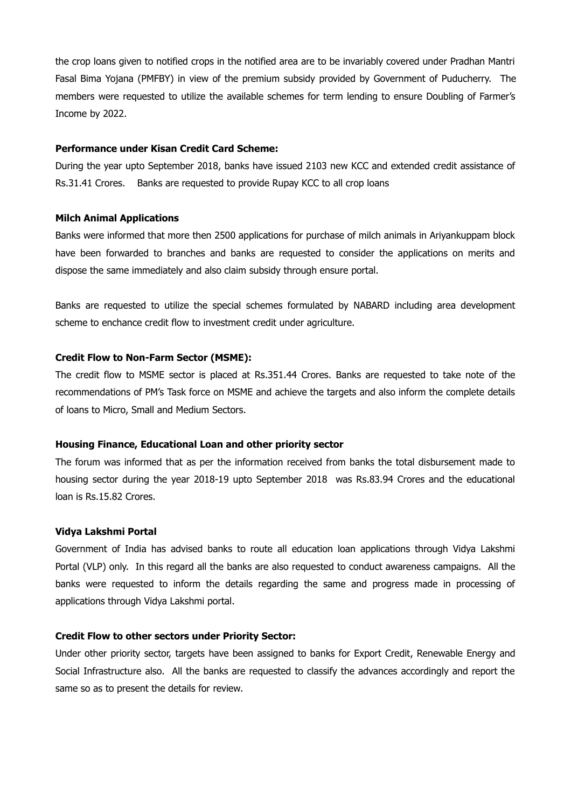the crop loans given to notified crops in the notified area are to be invariably covered under Pradhan Mantri Fasal Bima Yojana (PMFBY) in view of the premium subsidy provided by Government of Puducherry. The members were requested to utilize the available schemes for term lending to ensure Doubling of Farmer's Income by 2022.

#### **Performance under Kisan Credit Card Scheme:**

During the year upto September 2018, banks have issued 2103 new KCC and extended credit assistance of Rs.31.41 Crores. Banks are requested to provide Rupay KCC to all crop loans

#### **Milch Animal Applications**

Banks were informed that more then 2500 applications for purchase of milch animals in Ariyankuppam block have been forwarded to branches and banks are requested to consider the applications on merits and dispose the same immediately and also claim subsidy through ensure portal.

Banks are requested to utilize the special schemes formulated by NABARD including area development scheme to enchance credit flow to investment credit under agriculture.

#### **Credit Flow to Non-Farm Sector (MSME):**

The credit flow to MSME sector is placed at Rs.351.44 Crores. Banks are requested to take note of the recommendations of PM's Task force on MSME and achieve the targets and also inform the complete details of loans to Micro, Small and Medium Sectors.

#### **Housing Finance, Educational Loan and other priority sector**

The forum was informed that as per the information received from banks the total disbursement made to housing sector during the year 2018-19 upto September 2018 was Rs.83.94 Crores and the educational loan is Rs.15.82 Crores.

#### **Vidya Lakshmi Portal**

Government of India has advised banks to route all education loan applications through Vidya Lakshmi Portal (VLP) only. In this regard all the banks are also requested to conduct awareness campaigns. All the banks were requested to inform the details regarding the same and progress made in processing of applications through Vidya Lakshmi portal.

#### **Credit Flow to other sectors under Priority Sector:**

Under other priority sector, targets have been assigned to banks for Export Credit, Renewable Energy and Social Infrastructure also. All the banks are requested to classify the advances accordingly and report the same so as to present the details for review.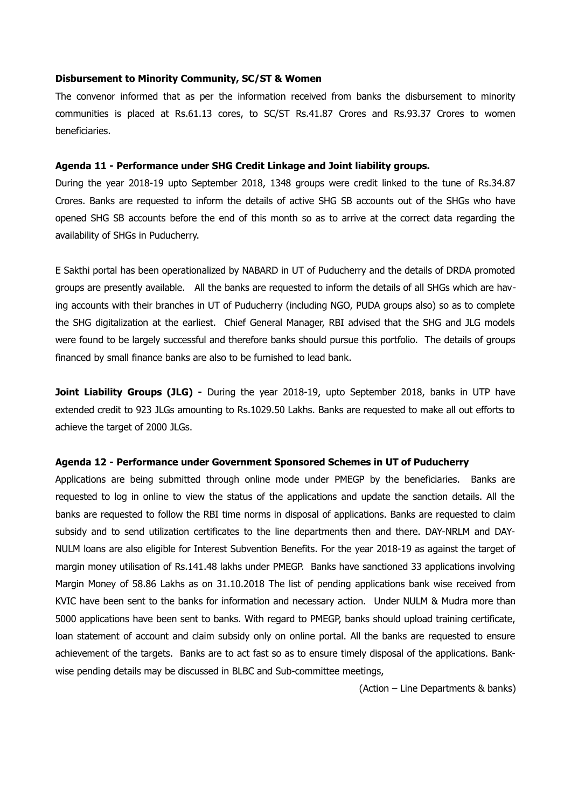#### **Disbursement to Minority Community, SC/ST & Women**

The convenor informed that as per the information received from banks the disbursement to minority communities is placed at Rs.61.13 cores, to SC/ST Rs.41.87 Crores and Rs.93.37 Crores to women beneficiaries.

#### **Agenda 11 - Performance under SHG Credit Linkage and Joint liability groups.**

During the year 2018-19 upto September 2018, 1348 groups were credit linked to the tune of Rs.34.87 Crores. Banks are requested to inform the details of active SHG SB accounts out of the SHGs who have opened SHG SB accounts before the end of this month so as to arrive at the correct data regarding the availability of SHGs in Puducherry.

E Sakthi portal has been operationalized by NABARD in UT of Puducherry and the details of DRDA promoted groups are presently available. All the banks are requested to inform the details of all SHGs which are having accounts with their branches in UT of Puducherry (including NGO, PUDA groups also) so as to complete the SHG digitalization at the earliest. Chief General Manager, RBI advised that the SHG and JLG models were found to be largely successful and therefore banks should pursue this portfolio. The details of groups financed by small finance banks are also to be furnished to lead bank.

**Joint Liability Groups (JLG) -** During the year 2018-19, upto September 2018, banks in UTP have extended credit to 923 JLGs amounting to Rs.1029.50 Lakhs. Banks are requested to make all out efforts to achieve the target of 2000 JLGs.

#### **Agenda 12 - Performance under Government Sponsored Schemes in UT of Puducherry**

Applications are being submitted through online mode under PMEGP by the beneficiaries. Banks are requested to log in online to view the status of the applications and update the sanction details. All the banks are requested to follow the RBI time norms in disposal of applications. Banks are requested to claim subsidy and to send utilization certificates to the line departments then and there. DAY-NRLM and DAY-NULM loans are also eligible for Interest Subvention Benefits. For the year 2018-19 as against the target of margin money utilisation of Rs.141.48 lakhs under PMEGP. Banks have sanctioned 33 applications involving Margin Money of 58.86 Lakhs as on 31.10.2018 The list of pending applications bank wise received from KVIC have been sent to the banks for information and necessary action. Under NULM & Mudra more than 5000 applications have been sent to banks. With regard to PMEGP, banks should upload training certificate, loan statement of account and claim subsidy only on online portal. All the banks are requested to ensure achievement of the targets. Banks are to act fast so as to ensure timely disposal of the applications. Bankwise pending details may be discussed in BLBC and Sub-committee meetings,

(Action – Line Departments & banks)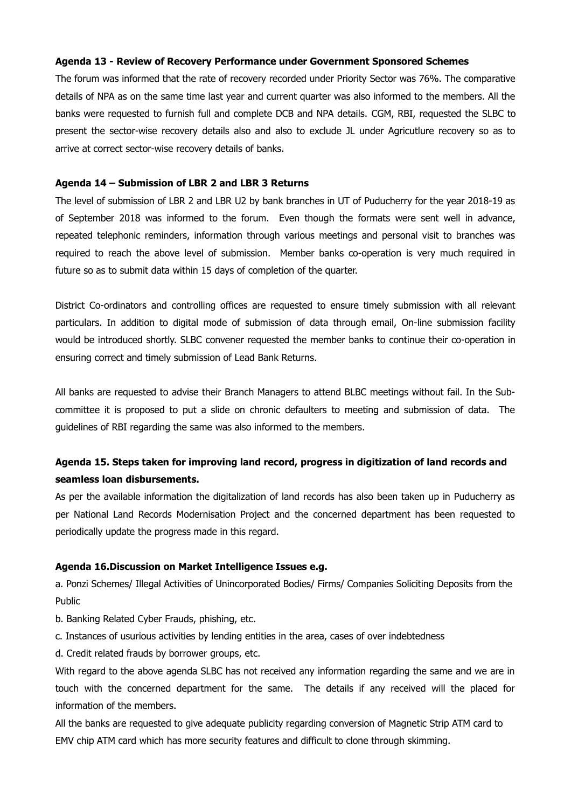#### **Agenda 13 - Review of Recovery Performance under Government Sponsored Schemes**

The forum was informed that the rate of recovery recorded under Priority Sector was 76%. The comparative details of NPA as on the same time last year and current quarter was also informed to the members. All the banks were requested to furnish full and complete DCB and NPA details. CGM, RBI, requested the SLBC to present the sector-wise recovery details also and also to exclude JL under Agricutlure recovery so as to arrive at correct sector-wise recovery details of banks.

#### **Agenda 14 – Submission of LBR 2 and LBR 3 Returns**

The level of submission of LBR 2 and LBR U2 by bank branches in UT of Puducherry for the year 2018-19 as of September 2018 was informed to the forum. Even though the formats were sent well in advance, repeated telephonic reminders, information through various meetings and personal visit to branches was required to reach the above level of submission. Member banks co-operation is very much required in future so as to submit data within 15 days of completion of the quarter.

District Co-ordinators and controlling offices are requested to ensure timely submission with all relevant particulars. In addition to digital mode of submission of data through email, On-line submission facility would be introduced shortly. SLBC convener requested the member banks to continue their co-operation in ensuring correct and timely submission of Lead Bank Returns.

All banks are requested to advise their Branch Managers to attend BLBC meetings without fail. In the Subcommittee it is proposed to put a slide on chronic defaulters to meeting and submission of data. The guidelines of RBI regarding the same was also informed to the members.

### **Agenda 15. Steps taken for improving land record, progress in digitization of land records and seamless loan disbursements.**

As per the available information the digitalization of land records has also been taken up in Puducherry as per National Land Records Modernisation Project and the concerned department has been requested to periodically update the progress made in this regard.

#### **Agenda 16.Discussion on Market Intelligence Issues e.g.**

a. Ponzi Schemes/ Illegal Activities of Unincorporated Bodies/ Firms/ Companies Soliciting Deposits from the Public

- b. Banking Related Cyber Frauds, phishing, etc.
- c. Instances of usurious activities by lending entities in the area, cases of over indebtedness
- d. Credit related frauds by borrower groups, etc.

With regard to the above agenda SLBC has not received any information regarding the same and we are in touch with the concerned department for the same. The details if any received will the placed for information of the members.

All the banks are requested to give adequate publicity regarding conversion of Magnetic Strip ATM card to EMV chip ATM card which has more security features and difficult to clone through skimming.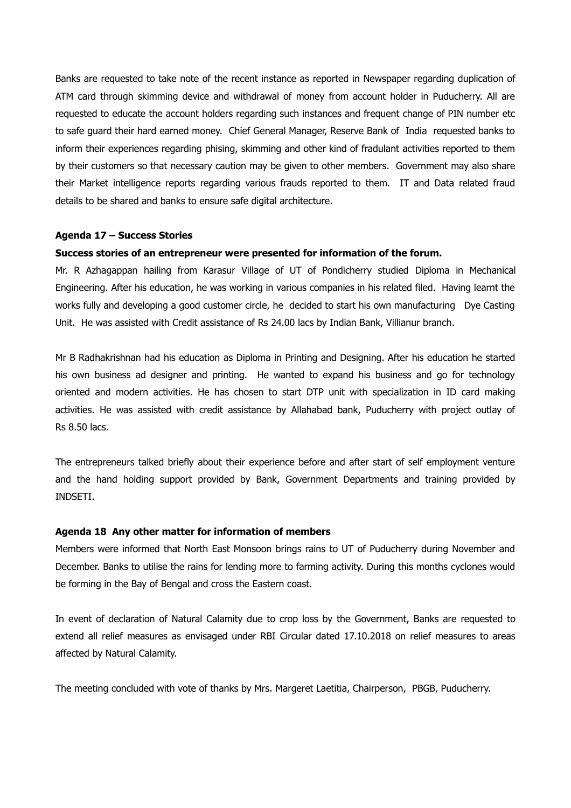Banks are requested to take note of the recent instance as reported in Newspaper regarding duplication of ATM card through skimming device and withdrawal of money from account holder in Puducherry. All are requested to educate the account holders regarding such instances and frequent change of PIN number etc to safe guard their hard earned money. Chief General Manager, Reserve Bank of India requested banks to inform their experiences regarding phising, skimming and other kind of fradulant activities reported to them by their customers so that necessary caution may be given to other members. Government may also share their Market intelligence reports regarding various frauds reported to them. IT and Data related fraud details to be shared and banks to ensure safe digital architecture.

#### **Agenda 17 – Success Stories**

#### **Success stories of an entrepreneur were presented for information of the forum.**

Mr. R Azhagappan hailing from Karasur Village of UT of Pondicherry studied Diploma in Mechanical Engineering. After his education, he was working in various companies in his related filed. Having learnt the works fully and developing a good customer circle, he decided to start his own manufacturing Dye Casting Unit. He was assisted with Credit assistance of Rs 24.00 lacs by Indian Bank, Villianur branch.

Mr B Radhakrishnan had his education as Diploma in Printing and Designing. After his education he started his own business ad designer and printing. He wanted to expand his business and go for technology oriented and modern activities. He has chosen to start DTP unit with specialization in ID card making activities. He was assisted with credit assistance by Allahabad bank, Puducherry with project outlay of Rs 8.50 lacs.

The entrepreneurs talked briefly about their experience before and after start of self employment venture and the hand holding support provided by Bank, Government Departments and training provided by INDSETI.

#### **Agenda 18 Any other matter for information of members**

Members were informed that North East Monsoon brings rains to UT of Puducherry during November and December. Banks to utilise the rains for lending more to farming activity. During this months cyclones would be forming in the Bay of Bengal and cross the Eastern coast.

In event of declaration of Natural Calamity due to crop loss by the Government, Banks are requested to extend all relief measures as envisaged under RBI Circular dated 17.10.2018 on relief measures to areas affected by Natural Calamity.

The meeting concluded with vote of thanks by Mrs. Margeret Laetitia, Chairperson, PBGB, Puducherry.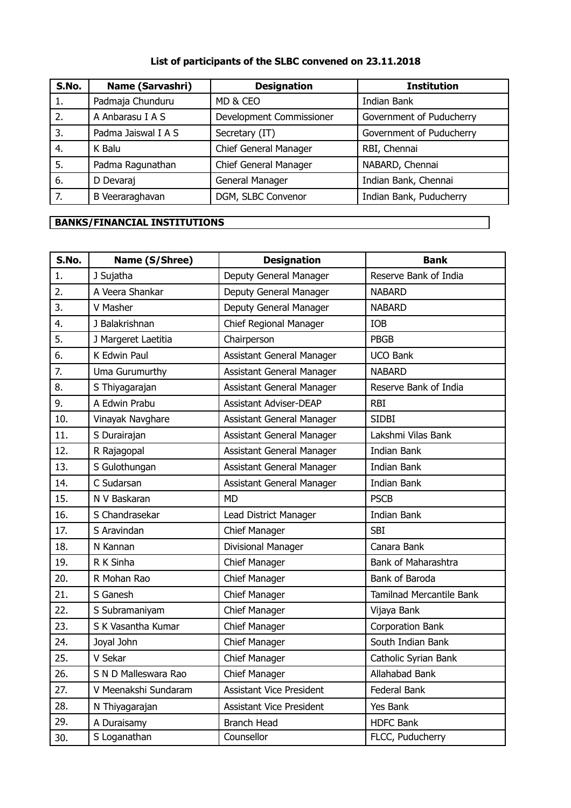## **List of participants of the SLBC convened on 23.11.2018**

| S.No. | <b>Name (Sarvashri)</b> | <b>Designation</b>           | <b>Institution</b>       |
|-------|-------------------------|------------------------------|--------------------------|
| 1.    | Padmaja Chunduru        | MD & CEO                     | Indian Bank              |
| 2.    | A Anbarasu I A S        | Development Commissioner     | Government of Puducherry |
| 3.    | Padma Jaiswal I A S     | Secretary (IT)               | Government of Puducherry |
| 4.    | K Balu                  | Chief General Manager        | RBI, Chennai             |
| 5.    | Padma Ragunathan        | <b>Chief General Manager</b> | NABARD, Chennai          |
| 6.    | D Devaraj               | General Manager              | Indian Bank, Chennai     |
| 7.    | B Veeraraghavan         | DGM, SLBC Convenor           | Indian Bank, Puducherry  |

# **BANKS/FINANCIAL INSTITUTIONS**

| S.No. | Name (S/Shree)       | <b>Designation</b>              | <b>Bank</b>              |
|-------|----------------------|---------------------------------|--------------------------|
| 1.    | J Sujatha            | Deputy General Manager          | Reserve Bank of India    |
| 2.    | A Veera Shankar      | Deputy General Manager          | <b>NABARD</b>            |
| 3.    | V Masher             | Deputy General Manager          | <b>NABARD</b>            |
| 4.    | J Balakrishnan       | Chief Regional Manager          | IOB                      |
| 5.    | J Margeret Laetitia  | Chairperson                     | PBGB                     |
| 6.    | K Edwin Paul         | Assistant General Manager       | <b>UCO Bank</b>          |
| 7.    | Uma Gurumurthy       | Assistant General Manager       | <b>NABARD</b>            |
| 8.    | S Thiyagarajan       | Assistant General Manager       | Reserve Bank of India    |
| 9.    | A Edwin Prabu        | <b>Assistant Adviser-DEAP</b>   | RBI                      |
| 10.   | Vinayak Navghare     | Assistant General Manager       | <b>SIDBI</b>             |
| 11.   | S Durairajan         | Assistant General Manager       | Lakshmi Vilas Bank       |
| 12.   | R Rajagopal          | Assistant General Manager       | <b>Indian Bank</b>       |
| 13.   | S Gulothungan        | Assistant General Manager       | <b>Indian Bank</b>       |
| 14.   | C Sudarsan           | Assistant General Manager       | Indian Bank              |
| 15.   | N V Baskaran         | <b>MD</b>                       | <b>PSCB</b>              |
| 16.   | S Chandrasekar       | Lead District Manager           | <b>Indian Bank</b>       |
| 17.   | S Aravindan          | Chief Manager                   | <b>SBI</b>               |
| 18.   | N Kannan             | Divisional Manager              | Canara Bank              |
| 19.   | R K Sinha            | Chief Manager                   | Bank of Maharashtra      |
| 20.   | R Mohan Rao          | <b>Chief Manager</b>            | Bank of Baroda           |
| 21.   | S Ganesh             | Chief Manager                   | Tamilnad Mercantile Bank |
| 22.   | S Subramaniyam       | Chief Manager                   | Vijaya Bank              |
| 23.   | S K Vasantha Kumar   | Chief Manager                   | <b>Corporation Bank</b>  |
| 24.   | Joyal John           | Chief Manager                   | South Indian Bank        |
| 25.   | V Sekar              | Chief Manager                   | Catholic Syrian Bank     |
| 26.   | S N D Malleswara Rao | Chief Manager                   | Allahabad Bank           |
| 27.   | V Meenakshi Sundaram | <b>Assistant Vice President</b> | Federal Bank             |
| 28.   | N Thiyagarajan       | <b>Assistant Vice President</b> | Yes Bank                 |
| 29.   | A Duraisamy          | <b>Branch Head</b>              | <b>HDFC Bank</b>         |
| 30.   | S Loganathan         | Counsellor                      | FLCC, Puducherry         |